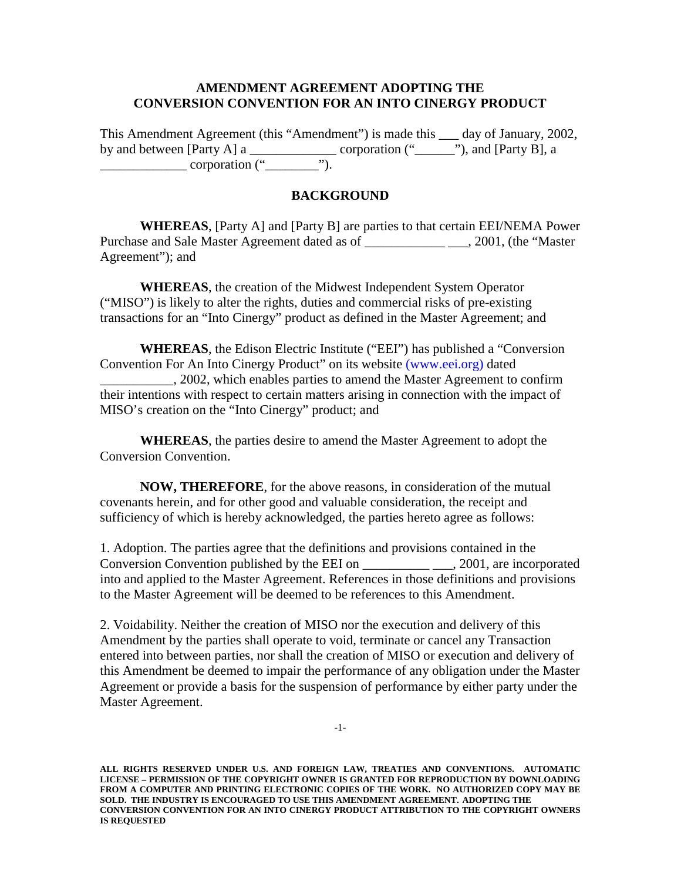## **AMENDMENT AGREEMENT ADOPTING THE CONVERSION CONVENTION FOR AN INTO CINERGY PRODUCT**

This Amendment Agreement (this "Amendment") is made this \_\_\_ day of January, 2002, by and between [Party A] a \_\_\_\_\_\_\_\_\_\_\_\_\_\_\_\_\_\_\_\_ corporation  $("$  \_\_\_\_\_" $")$ , and [Party B], a  $\frac{\text{corportion} (\text{``}\_\text{``}\text{''})}{\text{corportion} (\text{``}\_\text{``}\text{''})}.$ 

## **BACKGROUND**

**WHEREAS**, [Party A] and [Party B] are parties to that certain EEI/NEMA Power Purchase and Sale Master Agreement dated as of  $\qquad \qquad .2001$ , (the "Master") Agreement"); and

**WHEREAS**, the creation of the Midwest Independent System Operator ("MISO") is likely to alter the rights, duties and commercial risks of pre-existing transactions for an "Into Cinergy" product as defined in the Master Agreement; and

**WHEREAS**, the Edison Electric Institute ("EEI") has published a "Conversion Convention For An Into Cinergy Product" on its website [\(www.eei.org\)](http://www.eei.org/) dated \_\_\_\_\_\_\_\_\_\_\_, 2002, which enables parties to amend the Master Agreement to confirm their intentions with respect to certain matters arising in connection with the impact of MISO's creation on the "Into Cinergy" product; and

**WHEREAS**, the parties desire to amend the Master Agreement to adopt the Conversion Convention.

**NOW, THEREFORE**, for the above reasons, in consideration of the mutual covenants herein, and for other good and valuable consideration, the receipt and sufficiency of which is hereby acknowledged, the parties hereto agree as follows:

1. Adoption. The parties agree that the definitions and provisions contained in the Conversion Convention published by the EEI on \_\_\_\_\_\_\_\_\_\_ \_\_\_, 2001, are incorporated into and applied to the Master Agreement. References in those definitions and provisions to the Master Agreement will be deemed to be references to this Amendment.

2. Voidability. Neither the creation of MISO nor the execution and delivery of this Amendment by the parties shall operate to void, terminate or cancel any Transaction entered into between parties, nor shall the creation of MISO or execution and delivery of this Amendment be deemed to impair the performance of any obligation under the Master Agreement or provide a basis for the suspension of performance by either party under the Master Agreement.

**ALL RIGHTS RESERVED UNDER U.S. AND FOREIGN LAW, TREATIES AND CONVENTIONS. AUTOMATIC LICENSE – PERMISSION OF THE COPYRIGHT OWNER IS GRANTED FOR REPRODUCTION BY DOWNLOADING FROM A COMPUTER AND PRINTING ELECTRONIC COPIES OF THE WORK. NO AUTHORIZED COPY MAY BE SOLD. THE INDUSTRY IS ENCOURAGED TO USE THIS AMENDMENT AGREEMENT. ADOPTING THE CONVERSION CONVENTION FOR AN INTO CINERGY PRODUCT ATTRIBUTION TO THE COPYRIGHT OWNERS IS REQUESTED**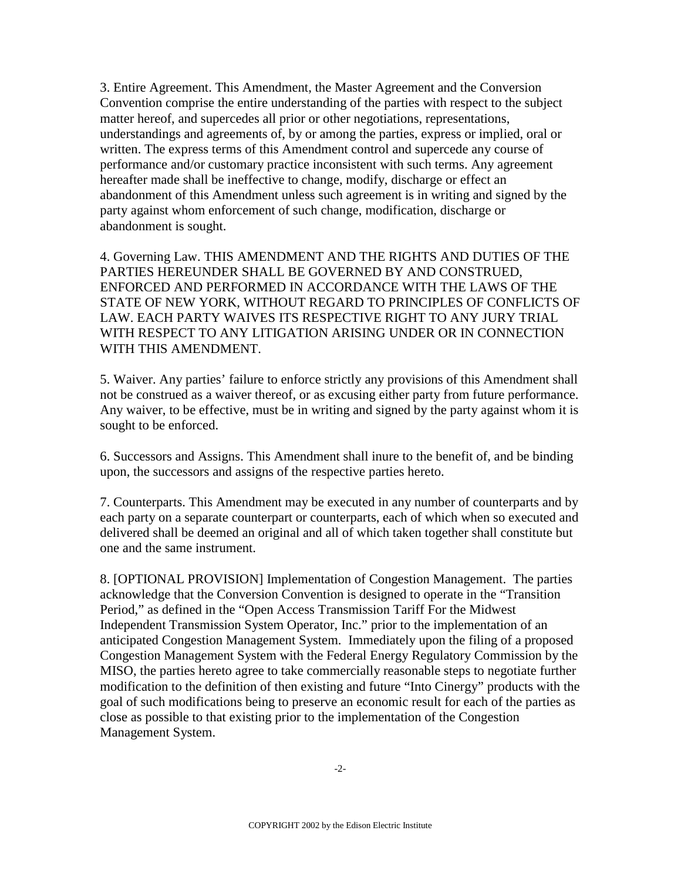3. Entire Agreement. This Amendment, the Master Agreement and the Conversion Convention comprise the entire understanding of the parties with respect to the subject matter hereof, and supercedes all prior or other negotiations, representations, understandings and agreements of, by or among the parties, express or implied, oral or written. The express terms of this Amendment control and supercede any course of performance and/or customary practice inconsistent with such terms. Any agreement hereafter made shall be ineffective to change, modify, discharge or effect an abandonment of this Amendment unless such agreement is in writing and signed by the party against whom enforcement of such change, modification, discharge or abandonment is sought.

4. Governing Law. THIS AMENDMENT AND THE RIGHTS AND DUTIES OF THE PARTIES HEREUNDER SHALL BE GOVERNED BY AND CONSTRUED, ENFORCED AND PERFORMED IN ACCORDANCE WITH THE LAWS OF THE STATE OF NEW YORK, WITHOUT REGARD TO PRINCIPLES OF CONFLICTS OF LAW. EACH PARTY WAIVES ITS RESPECTIVE RIGHT TO ANY JURY TRIAL WITH RESPECT TO ANY LITIGATION ARISING UNDER OR IN CONNECTION WITH THIS AMENDMENT.

5. Waiver. Any parties' failure to enforce strictly any provisions of this Amendment shall not be construed as a waiver thereof, or as excusing either party from future performance. Any waiver, to be effective, must be in writing and signed by the party against whom it is sought to be enforced.

6. Successors and Assigns. This Amendment shall inure to the benefit of, and be binding upon, the successors and assigns of the respective parties hereto.

7. Counterparts. This Amendment may be executed in any number of counterparts and by each party on a separate counterpart or counterparts, each of which when so executed and delivered shall be deemed an original and all of which taken together shall constitute but one and the same instrument.

8. [OPTIONAL PROVISION] Implementation of Congestion Management. The parties acknowledge that the Conversion Convention is designed to operate in the "Transition Period," as defined in the "Open Access Transmission Tariff For the Midwest Independent Transmission System Operator, Inc." prior to the implementation of an anticipated Congestion Management System. Immediately upon the filing of a proposed Congestion Management System with the Federal Energy Regulatory Commission by the MISO, the parties hereto agree to take commercially reasonable steps to negotiate further modification to the definition of then existing and future "Into Cinergy" products with the goal of such modifications being to preserve an economic result for each of the parties as close as possible to that existing prior to the implementation of the Congestion Management System.